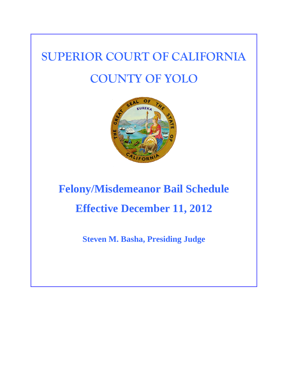# **SUPERIOR COURT OF CALIFORNIA COUNTY OF YOLO**



# **Felony/Misdemeanor Bail Schedule Effective December 11, 2012**

**Steven M. Basha, Presiding Judge**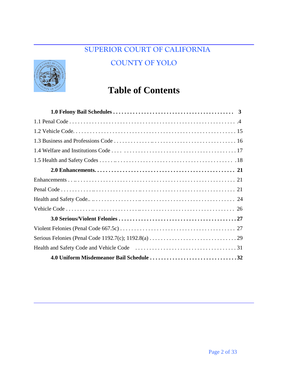### **SUPERIOR COURT OF CALIFORNIA**

#### **COUNTY OF YOLO**



# **Table of Contents**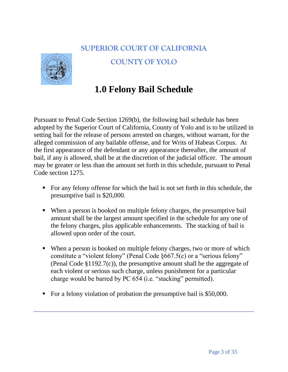#### **SUPERIOR COURT OF CALIFORNIA**



#### **COUNTY OF YOLO**

# **1.0 Felony Bail Schedule**

Pursuant to Penal Code Section 1269(b), the following bail schedule has been adopted by the Superior Court of California, County of Yolo and is to be utilized in setting bail for the release of persons arrested on charges, without warrant, for the alleged commission of any bailable offense, and for Writs of Habeas Corpus. At the first appearance of the defendant or any appearance thereafter, the amount of bail, if any is allowed, shall be at the discretion of the judicial officer. The amount may be greater or less than the amount set forth in this schedule, pursuant to Penal Code section 1275.

- For any felony offense for which the bail is not set forth in this schedule, the presumptive bail is \$20,000.
- When a person is booked on multiple felony charges, the presumptive bail amount shall be the largest amount specified in the schedule for any one of the felony charges, plus applicable enhancements. The stacking of bail is allowed upon order of the court.
- When a person is booked on multiple felony charges, two or more of which constitute a "violent felony" (Penal Code §667.5(c) or a "serious felony" (Penal Code §1192.7(c)), the presumptive amount shall be the aggregate of each violent or serious such charge, unless punishment for a particular charge would be barred by PC 654 (i.e. "stacking" permitted).
- For a felony violation of probation the presumptive bail is \$50,000.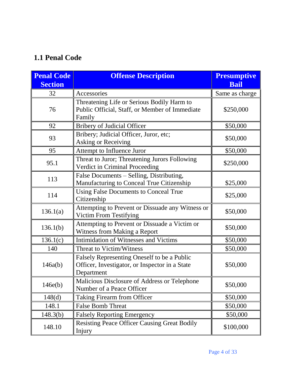## **1.1 Penal Code**

| <b>Penal Code</b><br><b>Section</b> | <b>Offense Description</b>                                                                                  | <b>Presumptive</b><br><b>Bail</b> |
|-------------------------------------|-------------------------------------------------------------------------------------------------------------|-----------------------------------|
| 32                                  | Accessories                                                                                                 | Same as charge                    |
| 76                                  | Threatening Life or Serious Bodily Harm to<br>Public Official, Staff, or Member of Immediate<br>Family      | \$250,000                         |
| 92                                  | <b>Bribery of Judicial Officer</b>                                                                          | \$50,000                          |
| 93                                  | Bribery; Judicial Officer, Juror, etc;<br><b>Asking or Receiving</b>                                        | \$50,000                          |
| 95                                  | Attempt to Influence Juror                                                                                  | \$50,000                          |
| 95.1                                | Threat to Juror; Threatening Jurors Following<br>Verdict in Criminal Proceeding                             | \$250,000                         |
| 113                                 | False Documents - Selling, Distributing,<br>Manufacturing to Conceal True Citizenship                       | \$25,000                          |
| 114                                 | <b>Using False Documents to Conceal True</b><br>Citizenship                                                 | \$25,000                          |
| 136.1(a)                            | Attempting to Prevent or Dissuade any Witness or<br><b>Victim From Testifying</b>                           | \$50,000                          |
| 136.1(b)                            | Attempting to Prevent or Dissuade a Victim or<br>Witness from Making a Report                               | \$50,000                          |
| 136.1(c)                            | <b>Intimidation of Witnesses and Victims</b>                                                                | \$50,000                          |
| 140                                 | <b>Threat to Victim/Witness</b>                                                                             | \$50,000                          |
| 146a(b)                             | Falsely Representing Oneself to be a Public<br>Officer, Investigator, or Inspector in a State<br>Department | \$50,000                          |
| 146e(b)                             | Malicious Disclosure of Address or Telephone<br>Number of a Peace Officer                                   | \$50,000                          |
| 148(d)                              | <b>Taking Firearm from Officer</b>                                                                          | \$50,000                          |
| 148.1                               | <b>False Bomb Threat</b>                                                                                    | \$50,000                          |
| 148.3(b)                            | <b>Falsely Reporting Emergency</b>                                                                          | \$50,000                          |
| 148.10                              | <b>Resisting Peace Officer Causing Great Bodily</b><br>Injury                                               | \$100,000                         |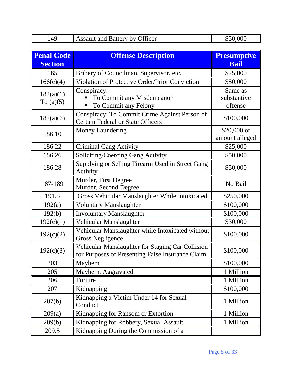| 149                      | <b>Assault and Battery by Officer</b>                                                                | \$50,000                          |
|--------------------------|------------------------------------------------------------------------------------------------------|-----------------------------------|
|                          |                                                                                                      |                                   |
| <b>Penal Code</b>        | <b>Offense Description</b>                                                                           | <b>Presumptive</b>                |
| <b>Section</b>           |                                                                                                      | <b>Bail</b>                       |
| 165                      | Bribery of Councilman, Supervisor, etc.                                                              | \$25,000                          |
| 166(c)(4)                | Violation of Protective Order/Prior Conviction                                                       | \$50,000                          |
| 182(a)(1)<br>To $(a)(5)$ | Conspiracy:<br>To Commit any Misdemeanor<br>To Commit any Felony                                     | Same as<br>substantive<br>offense |
| 182(a)(6)                | Conspiracy: To Commit Crime Against Person of<br><b>Certain Federal or State Officers</b>            | \$100,000                         |
| 186.10                   | <b>Money Laundering</b>                                                                              | $$20,000$ or<br>amount alleged    |
| 186.22                   | <b>Criminal Gang Activity</b>                                                                        | \$25,000                          |
| 186.26                   | Soliciting/Coercing Gang Activity                                                                    | \$50,000                          |
| 186.28                   | Supplying or Selling Firearm Used in Street Gang<br>Activity                                         | \$50,000                          |
| 187-189                  | Murder, First Degree<br>Murder, Second Degree                                                        | No Bail                           |
| 191.5                    | Gross Vehicular Manslaughter While Intoxicated                                                       | \$250,000                         |
| 192(a)                   | <b>Voluntary Manslaughter</b>                                                                        | \$100,000                         |
| 192(b)                   | <b>Involuntary Manslaughter</b>                                                                      | \$100,000                         |
| 192(c)(1)                | Vehicular Manslaughter                                                                               | \$30,000                          |
| 192(c)(2)                | Vehicular Manslaughter while Intoxicated without<br><b>Gross Negligence</b>                          | \$100,000                         |
| 192(c)(3)                | Vehicular Manslaughter for Staging Car Collision<br>for Purposes of Presenting False Insurance Claim | \$100,000                         |
| 203                      | Mayhem                                                                                               | \$100,000                         |
| 205                      | Mayhem, Aggravated                                                                                   | 1 Million                         |
| 206                      | Torture                                                                                              | 1 Million                         |
| 207                      | Kidnapping                                                                                           | \$100,000                         |
| 207(b)                   | Kidnapping a Victim Under 14 for Sexual<br>Conduct                                                   | 1 Million                         |
| 209(a)                   | Kidnapping for Ransom or Extortion                                                                   | 1 Million                         |
| 209(b)                   | Kidnapping for Robbery, Sexual Assault                                                               | 1 Million                         |
| 209.5                    | Kidnapping During the Commission of a                                                                |                                   |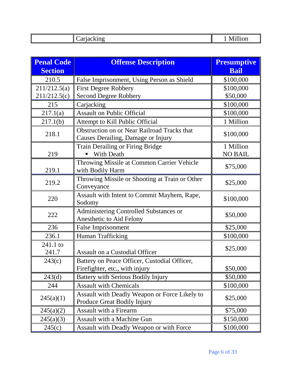| - |  |
|---|--|

| <b>Penal Code</b> | <b>Offense Description</b>                                                               | <b>Presumptive</b> |
|-------------------|------------------------------------------------------------------------------------------|--------------------|
| <b>Section</b>    |                                                                                          | <b>Bail</b>        |
| 210.5             | False Imprisonment, Using Person as Shield                                               | \$100,000          |
| 211/212.5(a)      | <b>First Degree Robbery</b>                                                              | \$100,000          |
| 211/212.5(c)      | <b>Second Degree Robbery</b>                                                             | \$50,000           |
| 215               | Carjacking                                                                               | \$100,000          |
| 217.1(a)          | <b>Assault on Public Official</b>                                                        | \$100,000          |
| 217.1(b)          | Attempt to Kill Public Official                                                          | 1 Million          |
| 218.1             | <b>Obstruction on or Near Railroad Tracks that</b><br>Causes Derailing, Damage or Injury | \$100,000          |
|                   | Train Derailing or Firing Bridge                                                         | 1 Million          |
| 219               | <b>With Death</b>                                                                        | <b>NO BAIL</b>     |
| 219.1             | Throwing Missile at Common Carrier Vehicle<br>with Bodily Harm                           | \$75,000           |
| 219.2             | Throwing Missile or Shooting at Train or Other<br>Conveyance                             | \$25,000           |
| 220               | Assault with Intent to Commit Mayhem, Rape,<br>Sodomy                                    | \$100,000          |
| 222               | Administering Controlled Substances or<br>Anesthetic to Aid Felony                       | \$50,000           |
| 236               | <b>False Imprisonment</b>                                                                | \$25,000           |
| 236.1             | Human Trafficking                                                                        | \$100,000          |
| 241.1 to          |                                                                                          | \$25,000           |
| 241.7             | <b>Assault on a Custodial Officer</b>                                                    |                    |
| 243(c)            | Battery on Peace Officer, Custodial Officer,                                             |                    |
|                   | Fire fighter, etc., with injury                                                          | \$50,000           |
| 243(d)            | <b>Battery with Serious Bodily Injury</b>                                                | \$50,000           |
| 244               | <b>Assault with Chemicals</b>                                                            | \$100,000          |
| 245(a)(1)         | Assault with Deadly Weapon or Force Likely to<br><b>Produce Great Bodily Injury</b>      | \$25,000           |
| 245(a)(2)         | <b>Assault with a Firearm</b>                                                            | \$75,000           |
| 245(a)(3)         | Assault with a Machine Gun                                                               | \$150,000          |
| 245(c)            | Assault with Deadly Weapon or with Force                                                 | \$100,000          |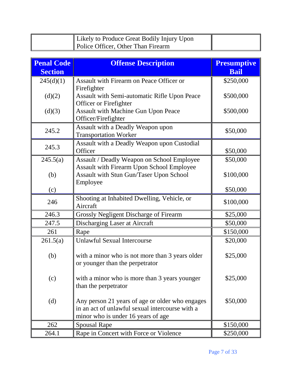| Likely to Produce Great Bodily Injury Upon |  |
|--------------------------------------------|--|
| Police Officer, Other Than Firearm         |  |

| <b>Penal Code</b><br><b>Section</b> | <b>Offense Description</b>                                                                                                               | <b>Presumptive</b><br><b>Bail</b> |
|-------------------------------------|------------------------------------------------------------------------------------------------------------------------------------------|-----------------------------------|
| 245(d)(1)                           | <b>Assault with Firearm on Peace Officer or</b><br>Firefighter                                                                           | \$250,000                         |
| (d)(2)                              | <b>Assault with Semi-automatic Rifle Upon Peace</b><br>Officer or Firefighter                                                            | \$500,000                         |
| (d)(3)                              | Assault with Machine Gun Upon Peace<br>Officer/Firefighter                                                                               | \$500,000                         |
| 245.2                               | Assault with a Deadly Weapon upon<br><b>Transportation Worker</b>                                                                        | \$50,000                          |
| 245.3                               | Assault with a Deadly Weapon upon Custodial<br>Officer                                                                                   | \$50,000                          |
| 245.5(a)                            | Assault / Deadly Weapon on School Employee                                                                                               | \$50,000                          |
| (b)                                 | <b>Assault with Firearm Upon School Employee</b><br>Assault with Stun Gun/Taser Upon School<br>Employee                                  | \$100,000                         |
| (c)                                 |                                                                                                                                          | \$50,000                          |
| 246                                 | Shooting at Inhabited Dwelling, Vehicle, or<br>Aircraft                                                                                  | \$100,000                         |
| 246.3                               | <b>Grossly Negligent Discharge of Firearm</b>                                                                                            | \$25,000                          |
| 247.5                               | Discharging Laser at Aircraft                                                                                                            | \$50,000                          |
| 261                                 | Rape                                                                                                                                     | \$150,000                         |
| 261.5(a)                            | <b>Unlawful Sexual Intercourse</b>                                                                                                       | \$20,000                          |
| (b)                                 | with a minor who is not more than 3 years older<br>or younger than the perpetrator                                                       | \$25,000                          |
| (c)                                 | with a minor who is more than 3 years younger<br>than the perpetrator                                                                    | \$25,000                          |
| (d)                                 | Any person 21 years of age or older who engages<br>in an act of unlawful sexual intercourse with a<br>minor who is under 16 years of age | \$50,000                          |
| 262                                 | <b>Spousal Rape</b>                                                                                                                      | \$150,000                         |
| 264.1                               | Rape in Concert with Force or Violence                                                                                                   | \$250,000                         |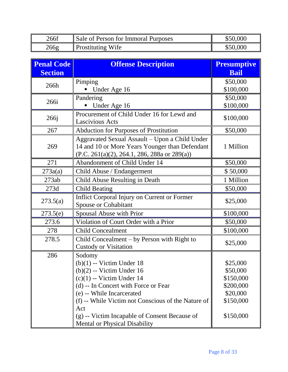| 266f | Sale of Person for Immoral Purposes | \$50,000 |
|------|-------------------------------------|----------|
| 266g | <b>Prostituting Wife</b>            | \$50,000 |

| <b>Penal Code</b> | <b>Offense Description</b>                                                                                                                            | <b>Presumptive</b> |
|-------------------|-------------------------------------------------------------------------------------------------------------------------------------------------------|--------------------|
| <b>Section</b>    |                                                                                                                                                       | <b>Bail</b>        |
| 266h              | Pimping                                                                                                                                               | \$50,000           |
|                   | Under Age 16                                                                                                                                          | \$100,000          |
| 266i              | Pandering                                                                                                                                             | \$50,000           |
|                   | Under Age 16                                                                                                                                          | \$100,000          |
| 266j              | Procurement of Child Under 16 for Lewd and<br><b>Lascivious Acts</b>                                                                                  | \$100,000          |
| 267               | <b>Abduction for Purposes of Prostitution</b>                                                                                                         | \$50,000           |
| 269               | Aggravated Sexual Assault - Upon a Child Under<br>14 and 10 or More Years Younger than Defendant<br>$(P.C. 261(a)(2), 264.1, 286, 288a$ or $289(a)$ ) | 1 Million          |
| 271               | Abandonment of Child Under 14                                                                                                                         | \$50,000           |
| 273a(a)           | Child Abuse / Endangerment                                                                                                                            | \$50,000           |
| 273ab             | Child Abuse Resulting in Death                                                                                                                        | 1 Million          |
| 273d              | <b>Child Beating</b>                                                                                                                                  | \$50,000           |
| 273.5(a)          | Inflict Corporal Injury on Current or Former<br><b>Spouse or Cohabitant</b>                                                                           | \$25,000           |
| 273.5(e)          | Spousal Abuse with Prior                                                                                                                              | \$100,000          |
| 273.6             | Violation of Court Order with a Prior                                                                                                                 | \$50,000           |
| 278               | <b>Child Concealment</b>                                                                                                                              | \$100,000          |
| 278.5             | Child Concealment – by Person with Right to<br><b>Custody or Visitation</b>                                                                           | \$25,000           |
| 286               | Sodomy                                                                                                                                                |                    |
|                   | $(b)(1)$ -- Victim Under 18                                                                                                                           | \$25,000           |
|                   | $(b)(2)$ -- Victim Under 16                                                                                                                           | \$50,000           |
|                   | $(c)(1)$ -- Victim Under 14                                                                                                                           | \$150,000          |
|                   | (d) -- In Concert with Force or Fear                                                                                                                  | \$200,000          |
|                   | (e) -- While Incarcerated                                                                                                                             | \$20,000           |
|                   | (f) -- While Victim not Conscious of the Nature of                                                                                                    | \$150,000          |
|                   | Act<br>(g) -- Victim Incapable of Consent Because of<br>Mental or Physical Disability                                                                 | \$150,000          |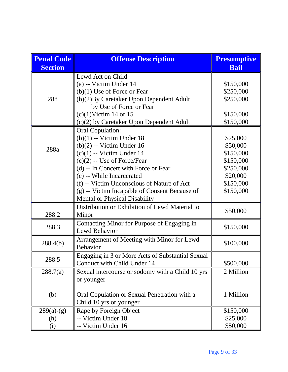| <b>Penal Code</b> | <b>Offense Description</b>                       | <b>Presumptive</b> |
|-------------------|--------------------------------------------------|--------------------|
| <b>Section</b>    |                                                  | <b>Bail</b>        |
|                   | Lewd Act on Child                                |                    |
|                   | (a) -- Victim Under 14                           | \$150,000          |
|                   | $(b)(1)$ Use of Force or Fear                    | \$250,000          |
| 288               | (b)(2) By Caretaker Upon Dependent Adult         | \$250,000          |
|                   | by Use of Force or Fear                          |                    |
|                   | $(c)(1)$ Victim 14 or 15                         | \$150,000          |
|                   | (c)(2) by Caretaker Upon Dependent Adult         | \$150,000          |
|                   | <b>Oral Copulation:</b>                          |                    |
|                   | $(b)(1)$ -- Victim Under 18                      | \$25,000           |
| 288a              | $(b)(2) -$ Victim Under 16                       | \$50,000           |
|                   | $(c)(1)$ -- Victim Under 14                      | \$150,000          |
|                   | $(c)(2) -$ Use of Force/Fear                     | \$150,000          |
|                   | (d) -- In Concert with Force or Fear             | \$250,000          |
|                   | (e) -- While Incarcerated                        | \$20,000           |
|                   | (f) -- Victim Unconscious of Nature of Act       | \$150,000          |
|                   | (g) -- Victim Incapable of Consent Because of    | \$150,000          |
|                   | <b>Mental or Physical Disability</b>             |                    |
|                   | Distribution or Exhibition of Lewd Material to   |                    |
| 288.2             | Minor                                            | \$50,000           |
| 288.3             | Contacting Minor for Purpose of Engaging in      | \$150,000          |
|                   | Lewd Behavior                                    |                    |
| 288.4(b)          | Arrangement of Meeting with Minor for Lewd       | \$100,000          |
|                   | <b>Behavior</b>                                  |                    |
| 288.5             | Engaging in 3 or More Acts of Substantial Sexual |                    |
|                   | Conduct with Child Under 14                      | \$500,000          |
| 288.7(a)          | Sexual intercourse or sodomy with a Child 10 yrs | 2 Million          |
|                   | or younger                                       |                    |
|                   |                                                  |                    |
| (b)               | Oral Copulation or Sexual Penetration with a     | 1 Million          |
|                   | Child 10 yrs or younger                          |                    |
| $289(a)-(g)$      | Rape by Foreign Object                           | \$150,000          |
| (h)               | -- Victim Under 18                               | \$25,000           |
| (i)               | -- Victim Under 16                               | \$50,000           |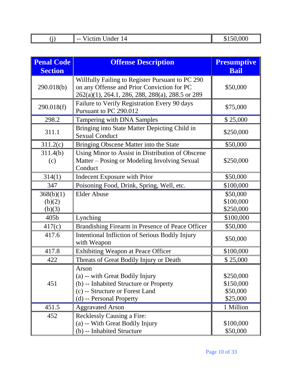|--|

| <b>Penal Code</b><br><b>Section</b> | <b>Offense Description</b>                                                                                                                         | <b>Presumptive</b><br><b>Bail</b>              |
|-------------------------------------|----------------------------------------------------------------------------------------------------------------------------------------------------|------------------------------------------------|
| 290.018(b)                          | Willfully Failing to Register Pursuant to PC 290<br>on any Offense and Prior Conviction for PC<br>262(a)(1), 264.1, 286, 288, 288(a), 288.5 or 289 | \$50,000                                       |
| 290.018(f)                          | Failure to Verify Registration Every 90 days<br>Pursuant to PC 290.012                                                                             | \$75,000                                       |
| 298.2                               | Tampering with DNA Samples                                                                                                                         | \$25,000                                       |
| 311.1                               | Bringing into State Matter Depicting Child in<br><b>Sexual Conduct</b>                                                                             | \$250,000                                      |
| 311.2(c)                            | Bringing Obscene Matter into the State                                                                                                             | \$50,000                                       |
| 311.4(b)<br>(c)                     | Using Minor to Assist in Distribution of Obscene<br>Matter – Posing or Modeling Involving Sexual<br>Conduct                                        | \$250,000                                      |
| 314(1)                              | Indecent Exposure with Prior                                                                                                                       | \$50,000                                       |
| 347                                 | Poisoning Food, Drink, Spring, Well, etc.                                                                                                          | \$100,000                                      |
| 368(b)(1)                           | <b>Elder Abuse</b>                                                                                                                                 | \$50,000                                       |
| (b)(2)                              |                                                                                                                                                    | \$100,000                                      |
| (b)(3)                              |                                                                                                                                                    | \$250,000                                      |
| 405 <sub>b</sub>                    | Lynching                                                                                                                                           | \$100,000                                      |
| 417(c)                              | Brandishing Firearm in Presence of Peace Officer                                                                                                   | \$50,000                                       |
| 417.6                               | Intentional Infliction of Serious Bodily Injury<br>with Weapon                                                                                     | \$50,000                                       |
| 417.8                               | <b>Exhibiting Weapon at Peace Officer</b>                                                                                                          | \$100,000                                      |
| 422                                 | Threats of Great Bodily Injury or Death                                                                                                            | \$25,000                                       |
| 451                                 | Arson<br>(a) -- with Great Bodily Injury<br>(b) -- Inhabited Structure or Property<br>(c) -- Structure or Forest Land<br>(d) -- Personal Property  | \$250,000<br>\$150,000<br>\$50,000<br>\$25,000 |
| 451.5                               | <b>Aggravated Arson</b>                                                                                                                            | 1 Million                                      |
| 452                                 | <b>Recklessly Causing a Fire:</b><br>(a) -- With Great Bodily Injury<br>(b) -- Inhabited Structure                                                 | \$100,000<br>\$50,000                          |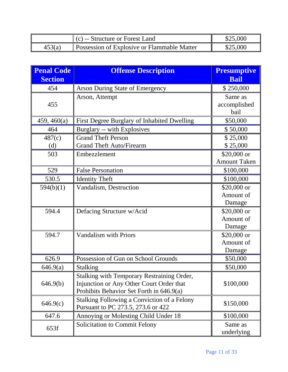|        | $\parallel$ (c) -- Structure or Forest Land        | \$25,000 |
|--------|----------------------------------------------------|----------|
| 453(a) | <b>Possession of Explosive or Flammable Matter</b> | \$25,000 |

| <b>Penal Code</b><br><b>Section</b> | <b>Offense Description</b>                                                                                                         | <b>Presumptive</b><br><b>Bail</b>   |
|-------------------------------------|------------------------------------------------------------------------------------------------------------------------------------|-------------------------------------|
| 454                                 | <b>Arson During State of Emergency</b>                                                                                             | \$250,000                           |
| 455                                 | Arson, Attempt                                                                                                                     | Same as<br>accomplished<br>bail     |
| 459, 460(a)                         | First Degree Burglary of Inhabited Dwelling                                                                                        | \$50,000                            |
| 464                                 | Burglary -- with Explosives                                                                                                        | \$50,000                            |
| 487(c)                              | <b>Grand Theft Person</b>                                                                                                          | \$25,000                            |
| (d)                                 | <b>Grand Theft Auto/Firearm</b>                                                                                                    | \$25,000                            |
| 503                                 | Embezzlement                                                                                                                       | $$20,000$ or<br><b>Amount Taken</b> |
| 529                                 | <b>False Personation</b>                                                                                                           | \$100,000                           |
| 530.5                               | <b>Identity Theft</b>                                                                                                              | \$100,000                           |
| 594(b)(1)                           | Vandalism, Destruction                                                                                                             | \$20,000 or<br>Amount of<br>Damage  |
| 594.4                               | Defacing Structure w/Acid                                                                                                          | $$20,000$ or<br>Amount of<br>Damage |
| 594.7                               | <b>Vandalism with Priors</b>                                                                                                       | $$20,000$ or<br>Amount of<br>Damage |
| 626.9                               | Possession of Gun on School Grounds                                                                                                | \$50,000                            |
| 646.9(a)                            | Stalking                                                                                                                           | \$50,000                            |
| 646.9(b)                            | Stalking with Temporary Restraining Order,<br>Injunction or Any Other Court Order that<br>Prohibits Behavior Set Forth in 646.9(a) | \$100,000                           |
| 646.9(c)                            | <b>Stalking Following a Conviction of a Felony</b><br>Pursuant to PC 273.5, 273.6 or 422                                           | \$150,000                           |
| 647.6                               | Annoying or Molesting Child Under 18                                                                                               | \$100,000                           |
| 653f                                | <b>Solicitation to Commit Felony</b>                                                                                               | Same as<br>underlying               |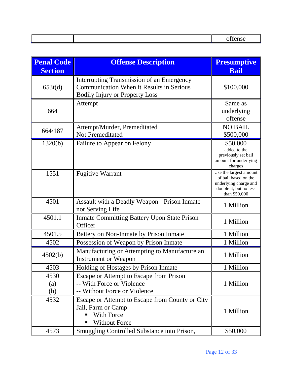| <b>Penal Code</b><br><b>Section</b> | <b>Offense Description</b>                                                                                                            | <b>Presumptive</b><br><b>Bail</b>                                                                                  |
|-------------------------------------|---------------------------------------------------------------------------------------------------------------------------------------|--------------------------------------------------------------------------------------------------------------------|
| 653t(d)                             | Interrupting Transmission of an Emergency<br><b>Communication When it Results in Serious</b><br><b>Bodily Injury or Property Loss</b> | \$100,000                                                                                                          |
| 664                                 | Attempt                                                                                                                               | Same as<br>underlying<br>offense                                                                                   |
| 664/187                             | Attempt/Murder, Premeditated<br><b>Not Premeditated</b>                                                                               | <b>NO BAIL</b><br>\$500,000                                                                                        |
| 1320(b)                             | Failure to Appear on Felony                                                                                                           | \$50,000<br>added to the<br>previously set bail<br>amount for underlying<br>charges                                |
| 1551                                | <b>Fugitive Warrant</b>                                                                                                               | Use the largest amount<br>of bail based on the<br>underlying charge and<br>double it, but no less<br>than \$50,000 |
| 4501                                | Assault with a Deadly Weapon - Prison Inmate<br>not Serving Life                                                                      | 1 Million                                                                                                          |
| 4501.1                              | <b>Inmate Committing Battery Upon State Prison</b><br>Officer                                                                         | 1 Million                                                                                                          |
| 4501.5                              | Battery on Non-Inmate by Prison Inmate                                                                                                | 1 Million                                                                                                          |
| 4502                                | Possession of Weapon by Prison Inmate                                                                                                 | 1 Million                                                                                                          |
| 4502(b)                             | Manufacturing or Attempting to Manufacture an<br><b>Instrument or Weapon</b>                                                          | 1 Million                                                                                                          |
| 4503                                | Holding of Hostages by Prison Inmate                                                                                                  | 1 Million                                                                                                          |
| 4530<br>(a)<br>(b)                  | Escape or Attempt to Escape from Prison<br>-- With Force or Violence<br>-- Without Force or Violence                                  | 1 Million                                                                                                          |
| 4532                                | Escape or Attempt to Escape from County or City<br>Jail, Farm or Camp<br>With Force<br><b>Without Force</b>                           | 1 Million                                                                                                          |
| 4573                                | Smuggling Controlled Substance into Prison,                                                                                           | \$50,000                                                                                                           |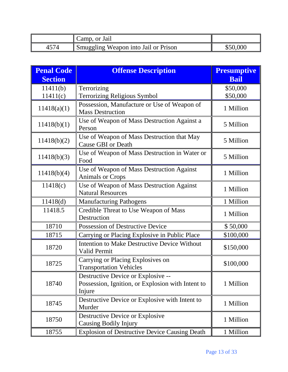|      | Camp, or Jail                        |          |
|------|--------------------------------------|----------|
| 4374 | Smuggling Weapon into Jail or Prison | \$50,000 |

| <b>Penal Code</b>    | <b>Offense Description</b>                                                                        | <b>Presumptive</b>   |
|----------------------|---------------------------------------------------------------------------------------------------|----------------------|
| <b>Section</b>       |                                                                                                   | <b>Bail</b>          |
| 11411(b)<br>11411(c) | Terrorizing<br><b>Terrorizing Religious Symbol</b>                                                | \$50,000<br>\$50,000 |
| 11418(a)(1)          | Possession, Manufacture or Use of Weapon of<br><b>Mass Destruction</b>                            | 1 Million            |
| 11418(b)(1)          | Use of Weapon of Mass Destruction Against a<br>Person                                             | 5 Million            |
| 11418(b)(2)          | Use of Weapon of Mass Destruction that May<br><b>Cause GBI or Death</b>                           | 5 Million            |
| 11418(b)(3)          | Use of Weapon of Mass Destruction in Water or<br>Food                                             | 5 Million            |
| 11418(b)(4)          | Use of Weapon of Mass Destruction Against<br><b>Animals or Crops</b>                              | 1 Million            |
| 11418(c)             | Use of Weapon of Mass Destruction Against<br><b>Natural Resources</b>                             | 1 Million            |
| 11418(d)             | <b>Manufacturing Pathogens</b>                                                                    | 1 Million            |
| 11418.5              | Credible Threat to Use Weapon of Mass<br>Destruction                                              | 1 Million            |
| 18710                | Possession of Destructive Device                                                                  | \$50,000             |
| 18715                | Carrying or Placing Explosive in Public Place                                                     | \$100,000            |
| 18720                | Intention to Make Destructive Device Without<br>Valid Permit                                      | \$150,000            |
| 18725                | Carrying or Placing Explosives on<br><b>Transportation Vehicles</b>                               | \$100,000            |
| 18740                | Destructive Device or Explosive --<br>Possession, Ignition, or Explosion with Intent to<br>Injure | 1 Million            |
| 18745                | Destructive Device or Explosive with Intent to<br>Murder                                          | 1 Million            |
| 18750                | Destructive Device or Explosive<br>Causing Bodily Injury                                          | 1 Million            |
| 18755                | <b>Explosion of Destructive Device Causing Death</b>                                              | 1 Million            |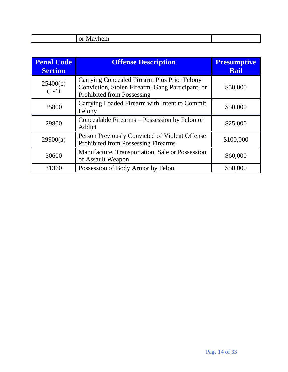| . |  |  |
|---|--|--|

| <b>Penal Code</b><br><b>Section</b> | <b>Offense Description</b>                                                                                                     | <b>Presumptive</b><br><b>Bail</b> |
|-------------------------------------|--------------------------------------------------------------------------------------------------------------------------------|-----------------------------------|
| 25400(c)<br>$(1-4)$                 | Carrying Concealed Firearm Plus Prior Felony<br>Conviction, Stolen Firearm, Gang Participant, or<br>Prohibited from Possessing | \$50,000                          |
| 25800                               | Carrying Loaded Firearm with Intent to Commit<br>Felony                                                                        | \$50,000                          |
| 29800                               | Concealable Firearms - Possession by Felon or<br>Addict                                                                        | \$25,000                          |
| 29900(a)                            | Person Previously Convicted of Violent Offense<br><b>Prohibited from Possessing Firearms</b>                                   | \$100,000                         |
| 30600                               | Manufacture, Transportation, Sale or Possession<br>of Assault Weapon                                                           | \$60,000                          |
| 31360                               | Possession of Body Armor by Felon                                                                                              | \$50,000                          |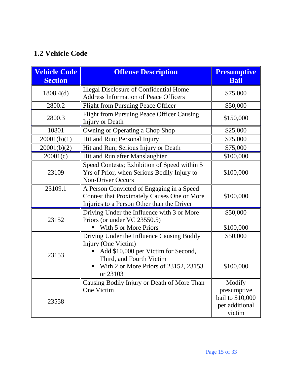## **1.2 Vehicle Code**

| <b>Vehicle Code</b><br><b>Section</b> | <b>Offense Description</b>                                                                                                                                                                | <b>Presumptive</b><br><b>Bail</b>                                     |
|---------------------------------------|-------------------------------------------------------------------------------------------------------------------------------------------------------------------------------------------|-----------------------------------------------------------------------|
| 1808.4(d)                             | <b>Illegal Disclosure of Confidential Home</b><br><b>Address Information of Peace Officers</b>                                                                                            | \$75,000                                                              |
| 2800.2                                | <b>Flight from Pursuing Peace Officer</b>                                                                                                                                                 | \$50,000                                                              |
| 2800.3                                | Flight from Pursuing Peace Officer Causing<br>Injury or Death                                                                                                                             | \$150,000                                                             |
| 10801                                 | Owning or Operating a Chop Shop                                                                                                                                                           | \$25,000                                                              |
| 20001(b)(1)                           | Hit and Run; Personal Injury                                                                                                                                                              | \$75,000                                                              |
| 20001(b)(2)                           | Hit and Run; Serious Injury or Death                                                                                                                                                      | \$75,000                                                              |
| 20001(c)                              | Hit and Run after Manslaughter                                                                                                                                                            | \$100,000                                                             |
| 23109                                 | Speed Contests; Exhibition of Speed within 5<br>Yrs of Prior, when Serious Bodily Injury to<br><b>Non-Driver Occurs</b>                                                                   | \$100,000                                                             |
| 23109.1                               | A Person Convicted of Engaging in a Speed<br><b>Contest that Proximately Causes One or More</b><br>Injuries to a Person Other than the Driver                                             | \$100,000                                                             |
| 23152                                 | Driving Under the Influence with 3 or More<br>Priors (or under VC 23550.5)<br>With 5 or More Priors                                                                                       | \$50,000<br>\$100,000                                                 |
| 23153                                 | Driving Under the Influence Causing Bodily<br>Injury (One Victim)<br>Add \$10,000 per Victim for Second,<br>Third, and Fourth Victim<br>With 2 or More Priors of 23152, 23153<br>or 23103 | \$50,000<br>\$100,000                                                 |
| 23558                                 | Causing Bodily Injury or Death of More Than<br><b>One Victim</b>                                                                                                                          | Modify<br>presumptive<br>bail to \$10,000<br>per additional<br>victim |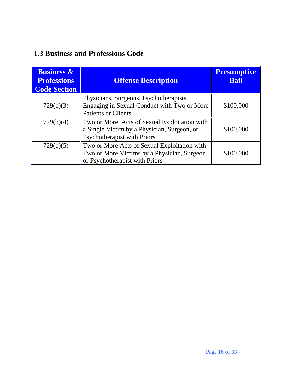### **1.3 Business and Professions Code**

| <b>Business &amp;</b><br><b>Professions</b><br><b>Code Section</b> | <b>Offense Description</b>                                                                                                     | <b>Presumptive</b><br><b>Bail</b> |
|--------------------------------------------------------------------|--------------------------------------------------------------------------------------------------------------------------------|-----------------------------------|
| 729(b)(3)                                                          | Physicians, Surgeons, Psychotherapists<br>Engaging in Sexual Conduct with Two or More<br><b>Patients or Clients</b>            | \$100,000                         |
| 729(b)(4)                                                          | Two or More Acts of Sexual Exploitation with<br>a Single Victim by a Physician, Surgeon, or<br>Psychotherapist with Priors     | \$100,000                         |
| 729(b)(5)                                                          | Two or More Acts of Sexual Exploitation with<br>Two or More Victims by a Physician, Surgeon,<br>or Psychotherapist with Priors | \$100,000                         |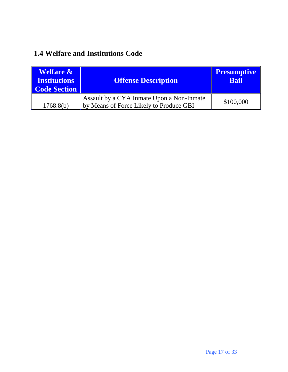### **1.4 Welfare and Institutions Code**

| <b>Welfare &amp;</b><br><b>Institutions</b><br><b>Code Section</b> | <b>Offense Description</b>                                                           | <b>Presumptive</b><br><b>Bail</b> |
|--------------------------------------------------------------------|--------------------------------------------------------------------------------------|-----------------------------------|
| 1768.8(b)                                                          | Assault by a CYA Inmate Upon a Non-Inmate<br>by Means of Force Likely to Produce GBI | \$100,000                         |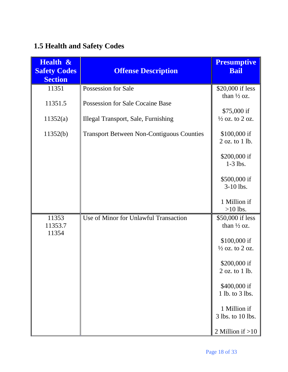## **1.5 Health and Safety Codes**

| <b>Health &amp;</b><br><b>Safety Codes</b><br><b>Section</b> | <b>Offense Description</b>                       | <b>Presumptive</b><br><b>Bail</b>          |
|--------------------------------------------------------------|--------------------------------------------------|--------------------------------------------|
| 11351                                                        | <b>Possession for Sale</b>                       | \$20,000 if less                           |
| 11351.5                                                      | Possession for Sale Cocaine Base                 | than $\frac{1}{2}$ oz.<br>$$75,000$ if     |
| 11352(a)                                                     | <b>Illegal Transport, Sale, Furnishing</b>       | $\frac{1}{2}$ oz. to 2 oz.                 |
| 11352(b)                                                     | <b>Transport Between Non-Contiguous Counties</b> | \$100,000 if<br>$2$ oz. to $1$ lb.         |
|                                                              |                                                  | \$200,000 if<br>$1-3$ lbs.                 |
|                                                              |                                                  | \$500,000 if<br>$3-10$ lbs.                |
|                                                              |                                                  | 1 Million if<br>$>10$ lbs.                 |
| 11353<br>11353.7<br>11354                                    | Use of Minor for Unlawful Transaction            | \$50,000 if less<br>than $\frac{1}{2}$ oz. |
|                                                              |                                                  | \$100,000 if<br>$\frac{1}{2}$ oz. to 2 oz. |
|                                                              |                                                  | \$200,000 if<br>$2$ oz. to $1$ lb.         |
|                                                              |                                                  | \$400,000 if<br>1 lb. to 3 lbs.            |
|                                                              |                                                  | 1 Million if<br>3 lbs. to 10 lbs.          |
|                                                              |                                                  | 2 Million if $>10$                         |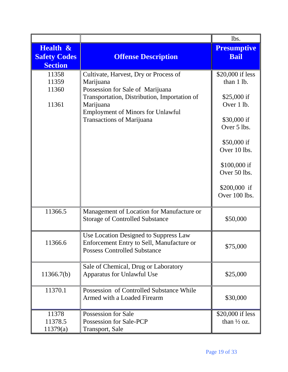|                                                   |                                                                                                                                                                                                                                     | lbs.                                                                                                                                                                                       |
|---------------------------------------------------|-------------------------------------------------------------------------------------------------------------------------------------------------------------------------------------------------------------------------------------|--------------------------------------------------------------------------------------------------------------------------------------------------------------------------------------------|
| Health &<br><b>Safety Codes</b><br><b>Section</b> | <b>Offense Description</b>                                                                                                                                                                                                          | <b>Presumptive</b><br><b>Bail</b>                                                                                                                                                          |
| 11358<br>11359<br>11360<br>11361                  | Cultivate, Harvest, Dry or Process of<br>Marijuana<br>Possession for Sale of Marijuana<br>Transportation, Distribution, Importation of<br>Marijuana<br><b>Employment of Minors for Unlawful</b><br><b>Transactions of Marijuana</b> | \$20,000 if less<br>than 1 lb.<br>\$25,000 if<br>Over 1 lb.<br>\$30,000 if<br>Over 5 lbs.<br>\$50,000 if<br>Over 10 lbs.<br>\$100,000 if<br>Over 50 lbs.<br>$$200,000$ if<br>Over 100 lbs. |
| 11366.5                                           | Management of Location for Manufacture or<br><b>Storage of Controlled Substance</b>                                                                                                                                                 | \$50,000                                                                                                                                                                                   |
| 11366.6                                           | Use Location Designed to Suppress Law<br>Enforcement Entry to Sell, Manufacture or<br><b>Possess Controlled Substance</b>                                                                                                           | \$75,000                                                                                                                                                                                   |
| 11366.7(b)                                        | Sale of Chemical, Drug or Laboratory<br>Apparatus for Unlawful Use                                                                                                                                                                  | \$25,000                                                                                                                                                                                   |
| 11370.1                                           | Possession of Controlled Substance While<br>Armed with a Loaded Firearm                                                                                                                                                             | \$30,000                                                                                                                                                                                   |
| 11378<br>11378.5<br>11379(a)                      | Possession for Sale<br>Possession for Sale-PCP<br><b>Transport, Sale</b>                                                                                                                                                            | \$20,000 if less<br>than $\frac{1}{2}$ oz.                                                                                                                                                 |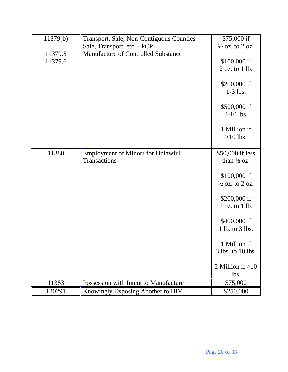| 11379(b) | Transport, Sale, Non-Contiguous Counties | \$75,000 if                |
|----------|------------------------------------------|----------------------------|
|          | Sale, Transport, etc. - PCP              | $\frac{1}{2}$ oz. to 2 oz. |
| 11379.5  | Manufacture of Controlled Substance      |                            |
| 11379.6  |                                          | \$100,000 if               |
|          |                                          | 2 oz. to 1 lb.             |
|          |                                          |                            |
|          |                                          | \$200,000 if               |
|          |                                          | $1-3$ lbs.                 |
|          |                                          |                            |
|          |                                          | \$500,000 if               |
|          |                                          | 3-10 lbs.                  |
|          |                                          | 1 Million if               |
|          |                                          | $>10$ lbs.                 |
|          |                                          |                            |
| 11380    | <b>Employment of Minors for Unlawful</b> | \$50,000 if less           |
|          | <b>Transactions</b>                      | than $\frac{1}{2}$ oz.     |
|          |                                          |                            |
|          |                                          | \$100,000 if               |
|          |                                          | $\frac{1}{2}$ oz. to 2 oz. |
|          |                                          |                            |
|          |                                          | \$200,000 if               |
|          |                                          | 2 oz. to 1 lb.             |
|          |                                          | \$400,000 if               |
|          |                                          | 1 lb. to 3 lbs.            |
|          |                                          |                            |
|          |                                          | 1 Million if               |
|          |                                          | 3 lbs. to 10 lbs.          |
|          |                                          |                            |
|          |                                          | 2 Million if $>10$         |
|          |                                          | lbs.                       |
| 11383    | Possession with Intent to Manufacture    | \$75,000                   |
| 120291   | Knowingly Exposing Another to HIV        | \$250,000                  |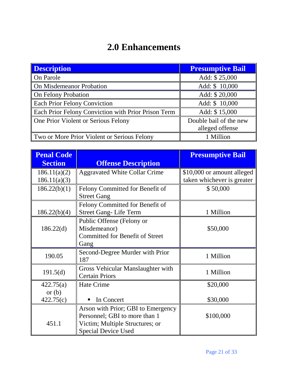# **2.0 Enhancements**

| <b>Description</b>                                  | <b>Presumptive Bail</b> |
|-----------------------------------------------------|-------------------------|
| On Parole                                           | Add: \$25,000           |
| On Misdemeanor Probation                            | Add: \$10,000           |
| On Felony Probation                                 | Add: \$20,000           |
| <b>Each Prior Felony Conviction</b>                 | Add: \$ 10,000          |
| Each Prior Felony Conviction with Prior Prison Term | Add: \$15,000           |
| One Prior Violent or Serious Felony                 | Double bail of the new  |
|                                                     | alleged offense         |
| Two or More Prior Violent or Serious Felony         | 1 Million               |

| <b>Penal Code</b><br><b>Section</b> | <b>Offense Description</b>             | <b>Presumptive Bail</b>    |
|-------------------------------------|----------------------------------------|----------------------------|
|                                     |                                        |                            |
| 186.11(a)(2)                        | <b>Aggravated White Collar Crime</b>   | \$10,000 or amount alleged |
| 186.11(a)(3)                        |                                        | taken whichever is greater |
| 186.22(b)(1)                        | Felony Committed for Benefit of        | \$50,000                   |
|                                     | <b>Street Gang</b>                     |                            |
|                                     | Felony Committed for Benefit of        |                            |
| 186.22(b)(4)                        | <b>Street Gang-Life Term</b>           | 1 Million                  |
|                                     | Public Offense (Felony or              |                            |
| 186.22(d)                           | Misdemeanor)                           | \$50,000                   |
|                                     | <b>Committed for Benefit of Street</b> |                            |
|                                     | Gang                                   |                            |
| 190.05                              | Second-Degree Murder with Prior        | 1 Million                  |
|                                     | 187                                    |                            |
| 191.5(d)                            | Gross Vehicular Manslaughter with      | 1 Million                  |
|                                     | <b>Certain Priors</b>                  |                            |
| 422.75(a)                           | <b>Hate Crime</b>                      | \$20,000                   |
| or $(b)$                            |                                        |                            |
| 422.75(c)                           | In Concert<br>$\blacksquare$           | \$30,000                   |
|                                     | Arson with Prior; GBI to Emergency     |                            |
|                                     | Personnel; GBI to more than 1          | \$100,000                  |
| 451.1                               | Victim; Multiple Structures; or        |                            |
|                                     | <b>Special Device Used</b>             |                            |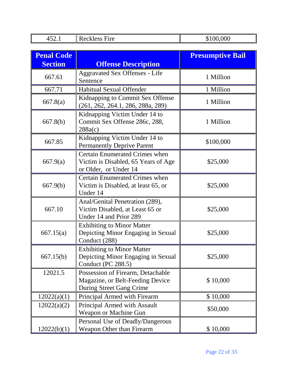| 452.1             | <b>Reckless Fire</b>                                                                              | \$100,000               |
|-------------------|---------------------------------------------------------------------------------------------------|-------------------------|
|                   |                                                                                                   |                         |
| <b>Penal Code</b> |                                                                                                   | <b>Presumptive Bail</b> |
| <b>Section</b>    | <b>Offense Description</b>                                                                        |                         |
| 667.61            | <b>Aggravated Sex Offenses - Life</b><br>Sentence                                                 | 1 Million               |
| 667.71            | Habitual Sexual Offender                                                                          | 1 Million               |
| 667.8(a)          | Kidnapping to Commit Sex Offense<br>(261, 262, 264.1, 286, 288a, 289)                             | 1 Million               |
| 667.8(b)          | Kidnapping Victim Under 14 to<br>Commit Sex Offense 286c, 288,<br>288a(c)                         | 1 Million               |
| 667.85            | Kidnapping Victim Under 14 to<br><b>Permanently Deprive Parent</b>                                | \$100,000               |
| 667.9(a)          | Certain Enumerated Crimes when<br>Victim is Disabled, 65 Years of Age<br>or Older, or Under 14    | \$25,000                |
| 667.9(b)          | <b>Certain Enumerated Crimes when</b><br>Victim is Disabled, at least 65, or<br>Under 14          | \$25,000                |
| 667.10            | Anal/Genital Penetration (289),<br>Victim Disabled, at Least 65 or<br>Under 14 and Prior 289      | \$25,000                |
| 667.15(a)         | <b>Exhibiting to Minor Matter</b><br>Depicting Minor Engaging in Sexual<br>Conduct (288)          | \$25,000                |
| 667.15(b)         | <b>Exhibiting to Minor Matter</b><br>Depicting Minor Engaging in Sexual<br>Conduct (PC 288.5)     | \$25,000                |
| 12021.5           | Possession of Firearm, Detachable<br>Magazine, or Belt-Feeding Device<br>During Street Gang Crime | \$10,000                |
| 12022(a)(1)       | Principal Armed with Firearm                                                                      | \$10,000                |
| 12022(a)(2)       | Principal Armed with Assault<br>Weapon or Machine Gun                                             | \$50,000                |
| 12022(b)(1)       | Personal Use of Deadly/Dangerous<br>Weapon Other than Firearm                                     | \$10,000                |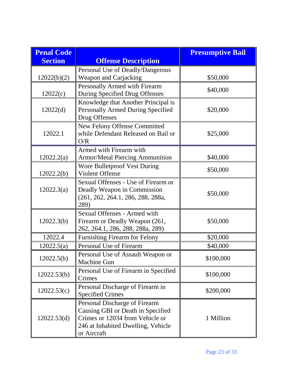| <b>Penal Code</b> |                                                                                                                                                            | <b>Presumptive Bail</b> |
|-------------------|------------------------------------------------------------------------------------------------------------------------------------------------------------|-------------------------|
| <b>Section</b>    | <b>Offense Description</b>                                                                                                                                 |                         |
| 12022(b)(2)       | Personal Use of Deadly/Dangerous<br><b>Weapon and Carjacking</b>                                                                                           | \$50,000                |
| 12022(c)          | Personally Armed with Firearm<br>During Specified Drug Offenses                                                                                            | \$40,000                |
| 12022(d)          | Knowledge that Another Principal is<br>Personally Armed During Specified<br>Drug Offenses                                                                  | \$20,000                |
| 12022.1           | New Felony Offense Committed<br>while Defendant Released on Bail or<br>O/R                                                                                 | \$25,000                |
| 12022.2(a)        | Armed with Firearm with<br><b>Armor/Metal Piercing Ammunition</b>                                                                                          | \$40,000                |
| 12022.2(b)        | <b>Wore Bulletproof Vest During</b><br><b>Violent Offense</b>                                                                                              | \$50,000                |
| 12022.3(a)        | Sexual Offenses - Use of Firearm or<br>Deadly Weapon in Commission<br>(261, 262, 264.1, 286, 288, 288a,<br>289)                                            | \$50,000                |
| 12022.3(b)        | Sexual Offenses - Armed with<br>Firearm or Deadly Weapon (261,<br>262, 264.1, 286, 288, 288a, 289)                                                         | \$50,000                |
| 12022.4           | Furnishing Firearm for Felony                                                                                                                              | \$20,000                |
| 12022.5(a)        | Personal Use of Firearm                                                                                                                                    | \$40,000                |
| 12022.5(b)        | Personal Use of Assault Weapon or<br>Machine Gun                                                                                                           | \$100,000               |
| 12022.53(b)       | Personal Use of Firearm in Specified<br>Crimes                                                                                                             | \$100,000               |
| 12022.53(c)       | Personal Discharge of Firearm in<br><b>Specified Crimes</b>                                                                                                | \$200,000               |
| 12022.53(d)       | Personal Discharge of Firearm<br>Causing GBI or Death in Specified<br>Crimes or 12034 from Vehicle or<br>246 at Inhabited Dwelling, Vehicle<br>or Aircraft | 1 Million               |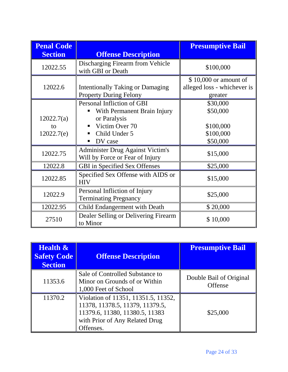| <b>Penal Code</b> |                                                                            | <b>Presumptive Bail</b>     |
|-------------------|----------------------------------------------------------------------------|-----------------------------|
| <b>Section</b>    | <b>Offense Description</b>                                                 |                             |
| 12022.55          | Discharging Firearm from Vehicle<br>with GBI or Death                      | \$100,000                   |
|                   |                                                                            | $$10,000$ or amount of      |
| 12022.6           | <b>Intentionally Taking or Damaging</b>                                    | alleged loss - whichever is |
|                   | <b>Property During Felony</b>                                              | greater                     |
|                   | Personal Infliction of GBI                                                 | \$30,000                    |
|                   | With Permanent Brain Injury                                                | \$50,000                    |
| 12022.7(a)        | or Paralysis                                                               |                             |
| to                | Victim Over 70                                                             | \$100,000                   |
| 12022.7(e)        | Child Under 5                                                              | \$100,000                   |
|                   | DV case                                                                    | \$50,000                    |
| 12022.75          | <b>Administer Drug Against Victim's</b><br>Will by Force or Fear of Injury | \$15,000                    |
| 12022.8           | <b>GBI</b> in Specified Sex Offenses                                       | \$25,000                    |
| 12022.85          | Specified Sex Offense with AIDS or<br><b>HIV</b>                           | \$15,000                    |
| 12022.9           | Personal Infliction of Injury<br><b>Terminating Pregnancy</b>              | \$25,000                    |
| 12022.95          | Child Endangerment with Death                                              | \$20,000                    |
| 27510             | Dealer Selling or Delivering Firearm<br>to Minor                           | \$10,000                    |

| <b>Health &amp;</b><br><b>Safety Code</b><br><b>Section</b> | <b>Offense Description</b>                                                                                                                              | <b>Presumptive Bail</b>            |
|-------------------------------------------------------------|---------------------------------------------------------------------------------------------------------------------------------------------------------|------------------------------------|
| 11353.6                                                     | Sale of Controlled Substance to<br>Minor on Grounds of or Within<br>1,000 Feet of School                                                                | Double Bail of Original<br>Offense |
| 11370.2                                                     | Violation of 11351, 11351.5, 11352,<br>11378, 11378.5, 11379, 11379.5,<br>11379.6, 11380, 11380.5, 11383<br>with Prior of Any Related Drug<br>Offenses. | \$25,000                           |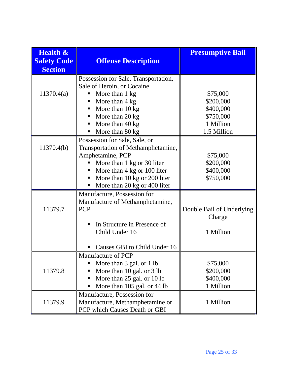| <b>Health &amp;</b><br><b>Safety Code</b><br><b>Section</b> | <b>Offense Description</b>                                                                                                                                                                | <b>Presumptive Bail</b>                            |
|-------------------------------------------------------------|-------------------------------------------------------------------------------------------------------------------------------------------------------------------------------------------|----------------------------------------------------|
| 11370.4(a)                                                  | Possession for Sale, Transportation,<br>Sale of Heroin, or Cocaine<br>More than 1 kg<br>More than 4 kg                                                                                    | \$75,000<br>\$200,000                              |
|                                                             | More than 10 kg<br>More than 20 kg<br>٠<br>More than 40 kg<br>More than 80 kg                                                                                                             | \$400,000<br>\$750,000<br>1 Million<br>1.5 Million |
| 11370.4(b)                                                  | Possession for Sale, Sale, or<br>Transportation of Methamphetamine,<br>Amphetamine, PCP<br>More than 1 kg or 30 liter<br>More than 4 kg or 100 liter<br>More than 10 kg or 200 liter<br>п | \$75,000<br>\$200,000<br>\$400,000<br>\$750,000    |
|                                                             | More than 20 kg or 400 liter<br>Manufacture, Possession for                                                                                                                               |                                                    |
| 11379.7                                                     | Manufacture of Methamphetamine,<br><b>PCP</b>                                                                                                                                             | Double Bail of Underlying<br>Charge                |
|                                                             | In Structure in Presence of<br>Child Under 16<br>Causes GBI to Child Under 16                                                                                                             | 1 Million                                          |
| 11379.8                                                     | Manufacture of PCP<br>More than 3 gal. or 1 lb<br>ш<br>More than 10 gal. or 3 lb<br>п<br>More than 25 gal. or 10 lb<br>More than 105 gal. or 44 lb                                        | \$75,000<br>\$200,000<br>\$400,000<br>1 Million    |
| 11379.9                                                     | Manufacture, Possession for<br>Manufacture, Methamphetamine or<br>PCP which Causes Death or GBI                                                                                           | 1 Million                                          |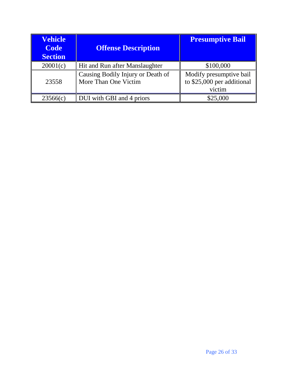| <b>Vehicle</b><br><b>Code</b><br><b>Section</b> | <b>Offense Description</b>                                | <b>Presumptive Bail</b>                                         |
|-------------------------------------------------|-----------------------------------------------------------|-----------------------------------------------------------------|
| 20001(c)                                        | Hit and Run after Manslaughter                            | \$100,000                                                       |
| 23558                                           | Causing Bodily Injury or Death of<br>More Than One Victim | Modify presumptive bail<br>to \$25,000 per additional<br>victim |
| 23566(c)                                        | DUI with GBI and 4 priors                                 | \$25,000                                                        |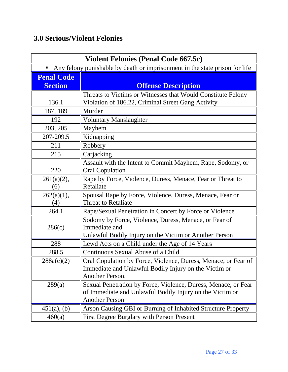### **3.0 Serious/Violent Felonies**

| <b>Violent Felonies (Penal Code 667.5c)</b>                                      |                                                                          |
|----------------------------------------------------------------------------------|--------------------------------------------------------------------------|
| Any felony punishable by death or imprisonment in the state prison for life<br>ш |                                                                          |
| <b>Penal Code</b>                                                                |                                                                          |
| <b>Section</b>                                                                   | <b>Offense Description</b>                                               |
|                                                                                  | Threats to Victims or Witnesses that Would Constitute Felony             |
| 136.1                                                                            | Violation of 186.22, Criminal Street Gang Activity                       |
| 187, 189                                                                         | Murder                                                                   |
| 192                                                                              | <b>Voluntary Manslaughter</b>                                            |
| 203, 205                                                                         | Mayhem                                                                   |
| 207-209.5                                                                        | Kidnapping                                                               |
| 211                                                                              | Robbery                                                                  |
| 215                                                                              | Carjacking                                                               |
|                                                                                  | Assault with the Intent to Commit Mayhem, Rape, Sodomy, or               |
| 220                                                                              | <b>Oral Copulation</b>                                                   |
| $261(a)(2)$ ,                                                                    | Rape by Force, Violence, Duress, Menace, Fear or Threat to               |
| (6)                                                                              | Retaliate                                                                |
| $262(a)(1)$ ,                                                                    | Spousal Rape by Force, Violence, Duress, Menace, Fear or                 |
| (4)                                                                              | <b>Threat to Retaliate</b>                                               |
| 264.1                                                                            | Rape/Sexual Penetration in Concert by Force or Violence                  |
|                                                                                  | Sodomy by Force, Violence, Duress, Menace, or Fear of                    |
| 286(c)                                                                           | Immediate and                                                            |
|                                                                                  | Unlawful Bodily Injury on the Victim or Another Person                   |
| 288                                                                              | Lewd Acts on a Child under the Age of 14 Years                           |
| 288.5                                                                            | Continuous Sexual Abuse of a Child                                       |
| 288a(c)(2)                                                                       | Oral Copulation by Force, Violence, Duress, Menace, or Fear of           |
|                                                                                  | Immediate and Unlawful Bodily Injury on the Victim or<br>Another Person. |
| 289(a)                                                                           | Sexual Penetration by Force, Violence, Duress, Menace, or Fear           |
|                                                                                  | of Immediate and Unlawful Bodily Injury on the Victim or                 |
|                                                                                  | <b>Another Person</b>                                                    |
| $451(a)$ , (b)                                                                   | Arson Causing GBI or Burning of Inhabited Structure Property             |
| 460(a)                                                                           | First Degree Burglary with Person Present                                |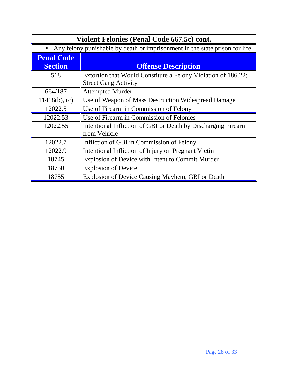| Violent Felonies (Penal Code 667.5c) cont. |                                                                               |  |
|--------------------------------------------|-------------------------------------------------------------------------------|--|
|                                            | • Any felony punishable by death or imprisonment in the state prison for life |  |
| <b>Penal Code</b>                          |                                                                               |  |
| <b>Section</b>                             | <b>Offense Description</b>                                                    |  |
| 518                                        | Extortion that Would Constitute a Felony Violation of 186.22;                 |  |
|                                            | <b>Street Gang Activity</b>                                                   |  |
| 664/187                                    | <b>Attempted Murder</b>                                                       |  |
| $11418(b)$ , (c)                           | Use of Weapon of Mass Destruction Widespread Damage                           |  |
| 12022.5                                    | Use of Firearm in Commission of Felony                                        |  |
| 12022.53                                   | Use of Firearm in Commission of Felonies                                      |  |
| 12022.55                                   | Intentional Infliction of GBI or Death by Discharging Firearm                 |  |
|                                            | from Vehicle                                                                  |  |
| 12022.7                                    | Infliction of GBI in Commission of Felony                                     |  |
| 12022.9                                    | Intentional Infliction of Injury on Pregnant Victim                           |  |
| 18745                                      | Explosion of Device with Intent to Commit Murder                              |  |
| 18750                                      | <b>Explosion of Device</b>                                                    |  |
| 18755                                      | Explosion of Device Causing Mayhem, GBI or Death                              |  |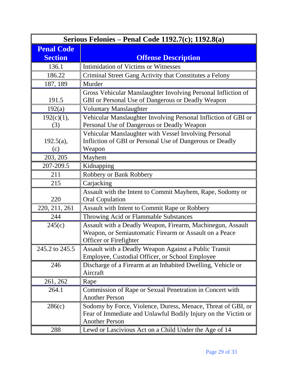| Serious Felonies – Penal Code 1192.7(c); 1192.8(a) |                                                                                                                                                        |  |  |
|----------------------------------------------------|--------------------------------------------------------------------------------------------------------------------------------------------------------|--|--|
| <b>Penal Code</b>                                  |                                                                                                                                                        |  |  |
| <b>Section</b>                                     | <b>Offense Description</b>                                                                                                                             |  |  |
| 136.1                                              | <b>Intimidation of Victims or Witnesses</b>                                                                                                            |  |  |
| 186.22                                             | Criminal Street Gang Activity that Constitutes a Felony                                                                                                |  |  |
| 187, 189                                           | Murder                                                                                                                                                 |  |  |
| 191.5                                              | Gross Vehicular Manslaughter Involving Personal Infliction of<br>GBI or Personal Use of Dangerous or Deadly Weapon                                     |  |  |
| 192(a)                                             | <b>Voluntary Manslaughter</b>                                                                                                                          |  |  |
| 192(c)(1),<br>(3)                                  | Vehicular Manslaughter Involving Personal Infliction of GBI or<br>Personal Use of Dangerous or Deadly Weapon                                           |  |  |
| $192.5(a)$ ,<br>(c)                                | Vehicular Manslaughter with Vessel Involving Personal<br>Infliction of GBI or Personal Use of Dangerous or Deadly<br>Weapon                            |  |  |
| 203, 205                                           | Mayhem                                                                                                                                                 |  |  |
| 207-209.5                                          | Kidnapping                                                                                                                                             |  |  |
| 211                                                | Robbery or Bank Robbery                                                                                                                                |  |  |
| 215                                                | Carjacking                                                                                                                                             |  |  |
| 220                                                | Assault with the Intent to Commit Mayhem, Rape, Sodomy or<br><b>Oral Copulation</b>                                                                    |  |  |
| 220, 211, 261                                      | <b>Assault with Intent to Commit Rape or Robbery</b>                                                                                                   |  |  |
| 244                                                | Throwing Acid or Flammable Substances                                                                                                                  |  |  |
| 245(c)                                             | Assault with a Deadly Weapon, Firearm, Machinegun, Assault<br>Weapon, or Semiautomatic Firearm or Assault on a Peace<br>Officer or Firefighter         |  |  |
| 245.2 to 245.5                                     | Assault with a Deadly Weapon Against a Public Transit<br>Employee, Custodial Officer, or School Employee                                               |  |  |
| 246                                                | Discharge of a Firearm at an Inhabited Dwelling, Vehicle or<br>Aircraft                                                                                |  |  |
| 261, 262                                           | Rape                                                                                                                                                   |  |  |
| 264.1                                              | Commission of Rape or Sexual Penetration in Concert with<br><b>Another Person</b>                                                                      |  |  |
| 286(c)                                             | Sodomy by Force, Violence, Duress, Menace, Threat of GBI, or<br>Fear of Immediate and Unlawful Bodily Injury on the Victim or<br><b>Another Person</b> |  |  |
| 288                                                | Lewd or Lascivious Act on a Child Under the Age of 14                                                                                                  |  |  |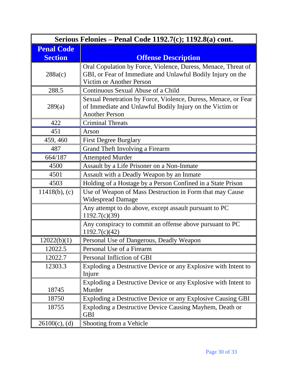| Serious Felonies – Penal Code 1192.7(c); 1192.8(a) cont. |                                                                                                                                                          |  |  |  |
|----------------------------------------------------------|----------------------------------------------------------------------------------------------------------------------------------------------------------|--|--|--|
| <b>Penal Code</b>                                        |                                                                                                                                                          |  |  |  |
| <b>Section</b>                                           | <b>Offense Description</b>                                                                                                                               |  |  |  |
| 288a(c)                                                  | Oral Copulation by Force, Violence, Duress, Menace, Threat of<br>GBI, or Fear of Immediate and Unlawful Bodily Injury on the<br>Victim or Another Person |  |  |  |
| 288.5                                                    | Continuous Sexual Abuse of a Child                                                                                                                       |  |  |  |
| 289(a)                                                   | Sexual Penetration by Force, Violence, Duress, Menace, or Fear<br>of Immediate and Unlawful Bodily Injury on the Victim or<br><b>Another Person</b>      |  |  |  |
| 422                                                      | <b>Criminal Threats</b>                                                                                                                                  |  |  |  |
| 451                                                      | Arson                                                                                                                                                    |  |  |  |
| 459, 460                                                 | <b>First Degree Burglary</b>                                                                                                                             |  |  |  |
| 487                                                      | Grand Theft Involving a Firearm                                                                                                                          |  |  |  |
| 664/187                                                  | <b>Attempted Murder</b>                                                                                                                                  |  |  |  |
| 4500                                                     | Assault by a Life Prisoner on a Non-Inmate                                                                                                               |  |  |  |
| 4501                                                     | Assault with a Deadly Weapon by an Inmate                                                                                                                |  |  |  |
| 4503                                                     | Holding of a Hostage by a Person Confined in a State Prison                                                                                              |  |  |  |
| $11418(b)$ , (c)                                         | Use of Weapon of Mass Destruction in Form that may Cause<br><b>Widespread Damage</b>                                                                     |  |  |  |
|                                                          | Any attempt to do above, except assault pursuant to PC<br>1192.7(c)(39)                                                                                  |  |  |  |
|                                                          | Any conspiracy to commit an offense above pursuant to PC<br>1192.7(c)(42)                                                                                |  |  |  |
| 12022(b)(1)                                              | Personal Use of Dangerous, Deadly Weapon                                                                                                                 |  |  |  |
| 12022.5                                                  | Personal Use of a Firearm                                                                                                                                |  |  |  |
| 12022.7                                                  | Personal Infliction of GBI                                                                                                                               |  |  |  |
| 12303.3                                                  | Exploding a Destructive Device or any Explosive with Intent to<br>Injure                                                                                 |  |  |  |
| 18745                                                    | Exploding a Destructive Device or any Explosive with Intent to<br>Murder                                                                                 |  |  |  |
| 18750                                                    | Exploding a Destructive Device or any Explosive Causing GBI                                                                                              |  |  |  |
| 18755                                                    | Exploding a Destructive Device Causing Mayhem, Death or<br><b>GBI</b>                                                                                    |  |  |  |
| $26100(c)$ , (d)                                         | Shooting from a Vehicle                                                                                                                                  |  |  |  |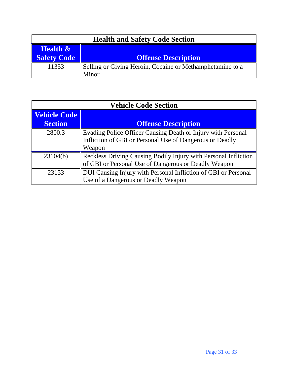| <b>Health and Safety Code Section</b> |                                                           |  |  |
|---------------------------------------|-----------------------------------------------------------|--|--|
| <b>Health &amp;</b>                   |                                                           |  |  |
| <b>Safety Code</b>                    | <b>Offense Description</b>                                |  |  |
| 11353                                 | Selling or Giving Heroin, Cocaine or Methamphetamine to a |  |  |
|                                       | Minor                                                     |  |  |

| <b>Vehicle Code Section</b> |                                                                 |  |  |
|-----------------------------|-----------------------------------------------------------------|--|--|
| <b>Vehicle Code</b>         |                                                                 |  |  |
| <b>Section</b>              | <b>Offense Description</b>                                      |  |  |
| 2800.3                      | Evading Police Officer Causing Death or Injury with Personal    |  |  |
|                             | Infliction of GBI or Personal Use of Dangerous or Deadly        |  |  |
|                             | Weapon                                                          |  |  |
| 23104(b)                    | Reckless Driving Causing Bodily Injury with Personal Infliction |  |  |
|                             | of GBI or Personal Use of Dangerous or Deadly Weapon            |  |  |
| 23153                       | DUI Causing Injury with Personal Infliction of GBI or Personal  |  |  |
|                             | Use of a Dangerous or Deadly Weapon                             |  |  |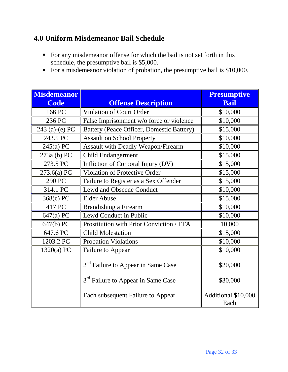#### **4.0 Uniform Misdemeanor Bail Schedule**

- For any misdemeanor offense for which the bail is not set forth in this schedule, the presumptive bail is \$5,000.
- For a misdemeanor violation of probation, the presumptive bail is \$10,000.

| <b>Misdemeanor</b> |                                                | <b>Presumptive</b>          |
|--------------------|------------------------------------------------|-----------------------------|
| <b>Code</b>        | <b>Offense Description</b>                     | <b>Bail</b>                 |
| 166 PC             | Violation of Court Order                       | \$10,000                    |
| 236 PC             | False Imprisonment w/o force or violence       | \$10,000                    |
| 243 $(a)-(e) PC$   | Battery (Peace Officer, Domestic Battery)      | \$15,000                    |
| 243.5 PC           | <b>Assault on School Property</b>              | \$10,000                    |
| 245(a) PC          | <b>Assault with Deadly Weapon/Firearm</b>      | \$10,000                    |
| 273a (b) PC        | <b>Child Endangerment</b>                      | \$15,000                    |
| 273.5 PC           | Infliction of Corporal Injury (DV)             | \$15,000                    |
| 273.6(a) PC        | Violation of Protective Order                  | \$15,000                    |
| 290 PC             | Failure to Register as a Sex Offender          | \$15,000                    |
| 314.1 PC           | Lewd and Obscene Conduct                       | \$10,000                    |
| 368(c) PC          | <b>Elder Abuse</b>                             | \$15,000                    |
| 417 PC             | <b>Brandishing a Firearm</b>                   | \$10,000                    |
| 647(a) PC          | Lewd Conduct in Public                         | \$10,000                    |
| 647(b) PC          | Prostitution with Prior Conviction / FTA       | 10,000                      |
| 647.6 PC           | <b>Child Molestation</b>                       | \$15,000                    |
| 1203.2 PC          | <b>Probation Violations</b>                    | \$10,000                    |
| 1320(a) PC         | Failure to Appear                              | \$10,000                    |
|                    | $2nd$ Failure to Appear in Same Case           | \$20,000                    |
|                    | 3 <sup>rd</sup> Failure to Appear in Same Case | \$30,000                    |
|                    | Each subsequent Failure to Appear              | Additional \$10,000<br>Each |